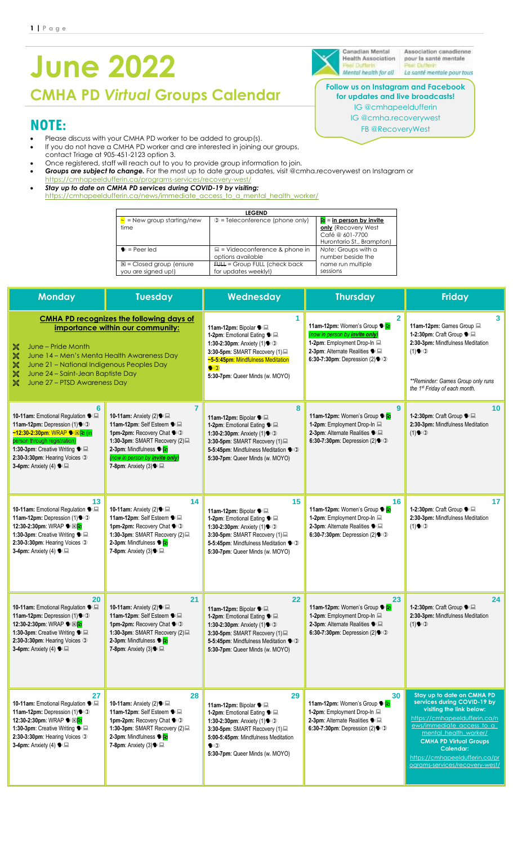# **June 2022**

**CMHA PD** *Virtual* **Groups Calendar**

# **NOTE:**

- Please discuss with your CMHA PD worker to be added to group(s).
- If you do not have a CMHA PD worker and are interested in joining our groups, contact Triage at 905-451-2123 option 3.
- Once registered, staff will reach out to you to provide group information to join.
- *Groups are subject to change.* For the most up to date group updates, visit @cmha.recoverywest on Instagram or
- ttps://cmhapeeldufferin.ca/programs-serv • *Stay up to date on CMHA PD services during COVID-19 by visiting:* 
	- [https://cmhapeeldufferin.ca/news/immediate\\_access\\_to\\_a\\_mental\\_health\\_worker/](https://cmhapeeldufferin.ca/news/immediate_access_to_a_mental_health_worker/)

| <b>LEGEND</b>                                             |                                                          |                                                                                                           |  |  |  |
|-----------------------------------------------------------|----------------------------------------------------------|-----------------------------------------------------------------------------------------------------------|--|--|--|
| $=$ New group starting/new<br>time                        | $\mathbb{D}$ = Teleconference (phone only)               | $\mathbf{a}$ = in person by invite<br>only (Recovery West<br>Café @ 601-7700<br>Hurontario St., Brampton) |  |  |  |
| $\bullet$ = Peer led                                      | $\Box$ = Videoconference & phone in<br>options available | Note: Groups with a<br>number beside the                                                                  |  |  |  |
| $\boxtimes$ = Closed group (ensure<br>you are signed up!) | $FURL = Group FULL (check back)$<br>for updates weekly!) | name run multiple<br>sessions                                                                             |  |  |  |

| <b>Monday</b>                                                                                                                                                                                                                                                                                | <b>Tuesday</b>                                                                                                                                                                                                                                     | Wednesday                                                                                                                                                                                                                                | <b>Thursday</b>                                                                                                                                                                                    | <b>Friday</b>                                                                                                                                                                                                                                                                                         |
|----------------------------------------------------------------------------------------------------------------------------------------------------------------------------------------------------------------------------------------------------------------------------------------------|----------------------------------------------------------------------------------------------------------------------------------------------------------------------------------------------------------------------------------------------------|------------------------------------------------------------------------------------------------------------------------------------------------------------------------------------------------------------------------------------------|----------------------------------------------------------------------------------------------------------------------------------------------------------------------------------------------------|-------------------------------------------------------------------------------------------------------------------------------------------------------------------------------------------------------------------------------------------------------------------------------------------------------|
| June – Pride Month<br>X<br>$\frac{1}{20}$<br>June 14 - Men's Menta Health Awareness Day<br>$\frac{1}{20}$<br>June 21 - National Indigenous Peoples Day<br>X<br>June 24 - Saint-Jean Baptiste Day<br>$\frac{1}{20}$<br>June 27 - PTSD Awareness Day                                           | <b>CMHA PD recognizes the following days of</b><br>importance within our community:                                                                                                                                                                | 1<br>11am-12pm: Bipolar ● 显<br>1-2pm: Emotional Eating ● 显<br>1:30-2:30pm: Anxiety (1) $\bullet$ $\circ$<br>3:30-5pm: SMART Recovery (1)<br>~5-5:45pm: Mindfulness Meditation<br>$\bullet$<br>5:30-7pm: Queer Minds (w. MOYO)            | $\overline{2}$<br>11am-12pm: Women's Group <sup>● P</sup><br>(now in person by <i>invite only)</i><br>1-2pm: Employment Drop-In<br>2-3pm: Alternate Realities •<br>6:30-7:30pm: Depression $(2)$ . | 3<br>11am-12pm: Games Group ■<br>1-2:30pm: Craft Group ● 显<br>2:30-3pm: Mindfulness Meditation<br>(1)<br>**Reminder: Games Group only runs<br>the 1 <sup>st</sup> Friday of each month.                                                                                                               |
| 6<br>10-11am: Emotional Regulation • <b>B</b><br>11am-12pm: Depression (1) : 0<br><mark>~12:30-2:30pm: WRAP <sup>•</sup> ⊠h (in</mark><br>person through registration)<br>1:30-3pm: Creative Writing ● ■<br>2:30-3:30pm: Hearing Voices ①<br>3-4pm: Anxiety (4) $\blacklozenge \blacksquare$ | $\overline{7}$<br>10-11am: Anxiety (2) • <b>■</b><br>11am-12pm: Self Esteem • <b>III</b><br>1pm-2pm: Recovery Chat :0<br>1:30-3pm: SMART Recovery (2)<br>2-3pm: Mindfulness • P<br>(now in person by <i>invite only)</i><br>7-8pm: Anxiety (3) • □ | 8<br>11am-12pm: Bipolar • ■<br>1-2pm: Emotional Eating <sup>®</sup><br>1:30-2:30pm: Anxiety (1) : 0<br>3:30-5pm: SMART Recovery (1)<br>5-5:45pm: Mindfulness Meditation (<br>5:30-7pm: Queer Minds (w. MOYO)                             | $\boldsymbol{9}$<br>11am-12pm: Women's Group <sup>● P</sup><br>1-2pm: Employment Drop-In<br>2-3pm: Alternate Realities •<br>6:30-7:30pm: Depression $(2)$ . $\bigcirc$                             | 10<br>1-2:30pm: Craft Group ● 显<br>2:30-3pm: Mindfulness Meditation<br>(1)                                                                                                                                                                                                                            |
| 13<br>10-11am: Emotional Regulation • <b>B</b><br>11am-12pm: Depression $(1)$ . $(1)$<br>12:30-2:30pm: WRAP <sup>●</sup><br>1:30-3pm: Creative Writing •<br>2:30-3:30pm: Hearing Voices ①<br>3-4pm: Anxiety (4) $\blacklozenge \blacksquare$                                                 | 14<br>10-11am: Anxiety (2) • <b>■</b><br>11am-12pm: Self Esteem • <b>B</b><br>1pm-2pm: Recovery Chat :0<br>1:30-3pm: SMART Recovery (2)<br>2-3pm: Mindfulness <sup>16</sup> Pu<br>7-8pm: Anxiety $(3)$ $\blacktriangleright \blacksquare$          | 15<br>11am-12pm: Bipolar ● 显<br>1-2pm: Emotional Eating ● ■<br>1:30-2:30pm: Anxiety (1) : 0<br>3:30-5pm: SMART Recovery (1)<br>5-5:45pm: Mindfulness Meditation • 1<br>5:30-7pm: Queer Minds (w. MOYO)                                   | 16<br>11am-12pm: Women's Group <sup>•</sup><br>1-2pm: Employment Drop-In<br>2-3pm: Alternate Realities ●<br>6:30-7:30pm: Depression $(2)$ .                                                        | 17<br>1-2:30pm: Craft Group ● 显<br>2:30-3pm: Mindfulness Meditation<br>(1)                                                                                                                                                                                                                            |
| 20<br>10-11am: Emotional Regulation • <b>B</b><br>11am-12pm: Depression (1) : 0<br>12:30-2:30pm: WRAP <sup>S</sup><br>1:30-3pm: Creative Writing •<br>2:30-3:30pm: Hearing Voices ①<br>3-4pm: Anxiety (4) $\bullet \equiv$                                                                   | 21<br>10-11am: Anxiety (2) • <b>■</b><br>11am-12pm: Self Esteem • <b>III</b><br>1pm-2pm: Recovery Chat :0<br>1:30-3pm: SMART Recovery (2)<br>2-3pm: Mindfulness <sup>16</sup> P<br>7-8pm: Anxiety (3) • □                                          | 22<br>11am-12pm: Bipolar ● 显<br>1-2pm: Emotional Eating ● 显<br>1:30-2:30pm: Anxiety (1) : 0<br>3:30-5pm: SMART Recovery (1)<br>5-5:45pm: Mindfulness Meditation (<br>5:30-7pm: Queer Minds (w. MOYO)                                     | 23<br>11am-12pm: Women's Group <sup>•</sup><br>1-2pm: Employment Drop-In<br>2-3pm: Alternate Realities • <b>E</b><br>6:30-7:30pm: Depression $(2)$ .                                               | 24<br>1-2:30pm: Craft Group ● 显<br>2:30-3pm: Mindfulness Meditation<br>(1)                                                                                                                                                                                                                            |
| 27<br>10-11am: Emotional Regulation • <b>B</b><br>11am-12pm: Depression (1) : 0<br>12:30-2:30pm: WRAP <sup>●</sup> ⊠ <mark>b</mark><br>1:30-3pm: Creative Writing •<br>2:30-3:30pm: Hearing Voices ①<br>3-4pm: Anxiety (4) $\blacklozenge \blacksquare$                                      | 28<br>10-11am: Anxiety (2) • <b>■</b><br>11am-12pm: Self Esteem •<br>1pm-2pm: Recovery Chat * 1<br>1:30-3pm: SMART Recovery (2)<br>2-3pm: Mindfulness <sup>1</sup><br>7-8pm: Anxiety $(3)$ $\blacktriangleright \blacksquare$                      | 29<br>11am-12pm: Bipolar ● 显<br>1-2pm: Emotional Eating • ■<br>1:30-2:30pm: Anxiety (1) $\bullet$ $\circ$<br>3:30-5pm: SMART Recovery (1)<br>5:00-5:45pm: Mindfulness Meditation<br>$\bullet$ $\circ$<br>5:30-7pm: Queer Minds (w. MOYO) | 30<br>11am-12pm: Women's Group <sup>●</sup><br>1-2pm: Employment Drop-In<br>2-3pm: Alternate Realities ●<br>6:30-7:30pm: Depression $(2)$ .                                                        | Stay up to date on CMHA PD<br>services during COVID-19 by<br>visiting the link below:<br>https://cmhapeeldufferin.ca/n<br>ews/immediate access to a<br>mental_health_worker/<br><b>CMHA PD Virtual Groups</b><br><b>Calendar:</b><br>https://cmhapeeldufferin.ca/pr<br>ograms-services/recovery-west/ |

Canadian Mental **Health Association** 

Association canadienne pour la santé mentale Mental health for all La santé mentale pour tous

**Follow us on Instagram and Facebook for updates and live broadcasts!**

IG @cmhapeeldufferin

IG @cmha.recoverywest FB @RecoveryWest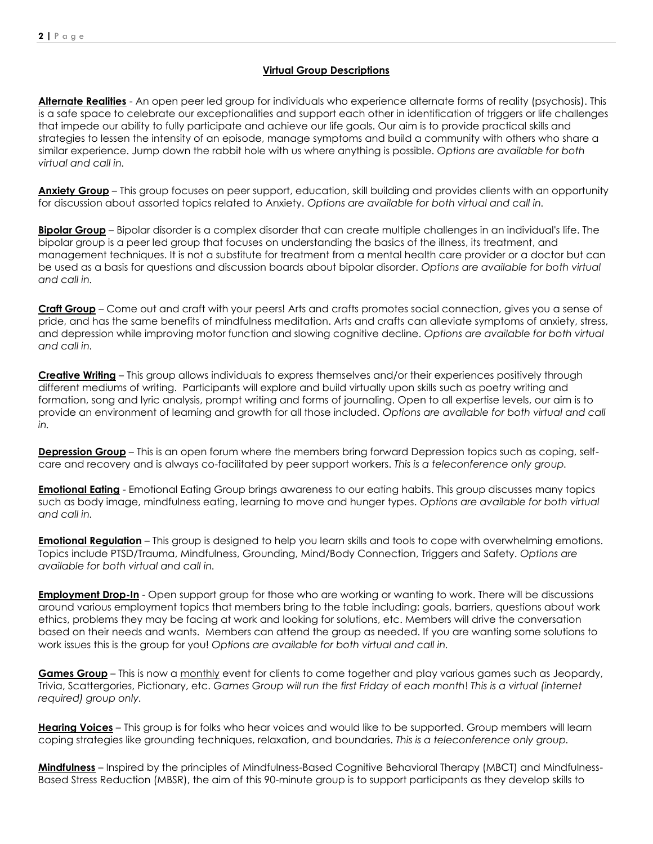#### **Virtual Group Descriptions**

**Alternate Realities** - An open peer led group for individuals who experience alternate forms of reality (psychosis). This is a safe space to celebrate our exceptionalities and support each other in identification of triggers or life challenges that impede our ability to fully participate and achieve our life goals. Our aim is to provide practical skills and strategies to lessen the intensity of an episode, manage symptoms and build a community with others who share a similar experience. Jump down the rabbit hole with us where anything is possible. *Options are available for both virtual and call in.*

**Anxiety Group** – This group focuses on peer support, education, skill building and provides clients with an opportunity for discussion about assorted topics related to Anxiety. *Options are available for both virtual and call in.*

**Bipolar Group** – Bipolar disorder is a complex disorder that can create multiple challenges in an individual's life. The bipolar group is a peer led group that focuses on understanding the basics of the illness, its treatment, and management techniques. It is not a substitute for treatment from a mental health care provider or a doctor but can be used as a basis for questions and discussion boards about bipolar disorder. *Options are available for both virtual and call in.*

**Craft Group** – Come out and craft with your peers! Arts and crafts promotes social connection, gives you a sense of pride, and has the same benefits of mindfulness meditation. Arts and crafts can alleviate symptoms of anxiety, stress, and depression while improving motor function and slowing cognitive decline. *Options are available for both virtual and call in.*

**Creative Writing** – This group allows individuals to express themselves and/or their experiences positively through different mediums of writing. Participants will explore and build virtually upon skills such as poetry writing and formation, song and lyric analysis, prompt writing and forms of journaling. Open to all expertise levels, our aim is to provide an environment of learning and growth for all those included. *Options are available for both virtual and call in.*

**Depression Group** – This is an open forum where the members bring forward Depression topics such as coping, selfcare and recovery and is always co-facilitated by peer support workers. *This is a teleconference only group.*

**Emotional Eating** - Emotional Eating Group brings awareness to our eating habits. This group discusses many topics such as body image, mindfulness eating, learning to move and hunger types. *Options are available for both virtual and call in.*

**Emotional Regulation** – This group is designed to help you learn skills and tools to cope with overwhelming emotions. Topics include PTSD/Trauma, Mindfulness, Grounding, Mind/Body Connection, Triggers and Safety. *Options are available for both virtual and call in.*

**Employment Drop-In** - Open support group for those who are working or wanting to work. There will be discussions around various employment topics that members bring to the table including: goals, barriers, questions about work ethics, problems they may be facing at work and looking for solutions, etc. Members will drive the conversation based on their needs and wants. Members can attend the group as needed. If you are wanting some solutions to work issues this is the group for you! *Options are available for both virtual and call in.*

**Games Group** – This is now a monthly event for clients to come together and play various games such as Jeopardy, Trivia, Scattergories, Pictionary, etc. *Games Group will run the first Friday of each month*! *This is a virtual (internet required) group only.*

**Hearing Voices** – This group is for folks who hear voices and would like to be supported. Group members will learn coping strategies like grounding techniques, relaxation, and boundaries. *This is a teleconference only group.*

**Mindfulness** – Inspired by the principles of Mindfulness-Based Cognitive Behavioral Therapy (MBCT) and Mindfulness-Based Stress Reduction (MBSR), the aim of this 90-minute group is to support participants as they develop skills to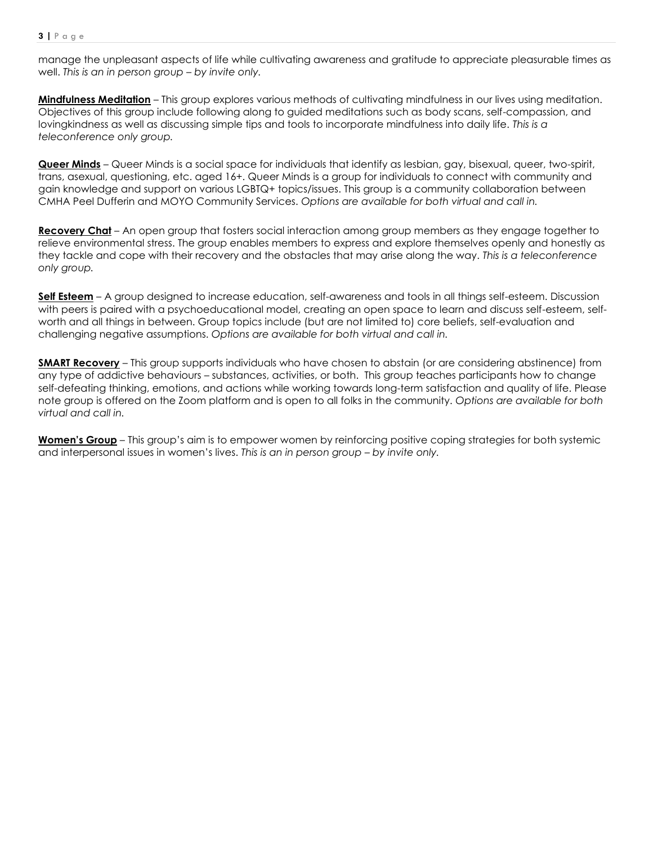manage the unpleasant aspects of life while cultivating awareness and gratitude to appreciate pleasurable times as well. *This is an in person group – by invite only.*

**Mindfulness Meditation** – This group explores various methods of cultivating mindfulness in our lives using meditation. Objectives of this group include following along to guided meditations such as body scans, self-compassion, and lovingkindness as well as discussing simple tips and tools to incorporate mindfulness into daily life. *This is a teleconference only group.*

**Queer Minds** – Queer Minds is a social space for individuals that identify as lesbian, gay, bisexual, queer, two-spirit, trans, asexual, questioning, etc. aged 16+. Queer Minds is a group for individuals to connect with community and gain knowledge and support on various LGBTQ+ topics/issues. This group is a community collaboration between CMHA Peel Dufferin and MOYO Community Services. *Options are available for both virtual and call in.*

**Recovery Chat** – An open group that fosters social interaction among group members as they engage together to relieve environmental stress. The group enables members to express and explore themselves openly and honestly as they tackle and cope with their recovery and the obstacles that may arise along the way. *This is a teleconference only group.*

**Self Esteem** – A group designed to increase education, self-awareness and tools in all things self-esteem. Discussion with peers is paired with a psychoeducational model, creating an open space to learn and discuss self-esteem, selfworth and all things in between. Group topics include (but are not limited to) core beliefs, self-evaluation and challenging negative assumptions. *Options are available for both virtual and call in.*

**SMART Recovery** – This group supports individuals who have chosen to abstain (or are considering abstinence) from any type of addictive behaviours – substances, activities, or both. This group teaches participants how to change self-defeating thinking, emotions, and actions while working towards long-term satisfaction and quality of life. Please note group is offered on the Zoom platform and is open to all folks in the community. *Options are available for both virtual and call in.*

**Women's Group** – This group's aim is to empower women by reinforcing positive coping strategies for both systemic and interpersonal issues in women's lives. *This is an in person group – by invite only.*